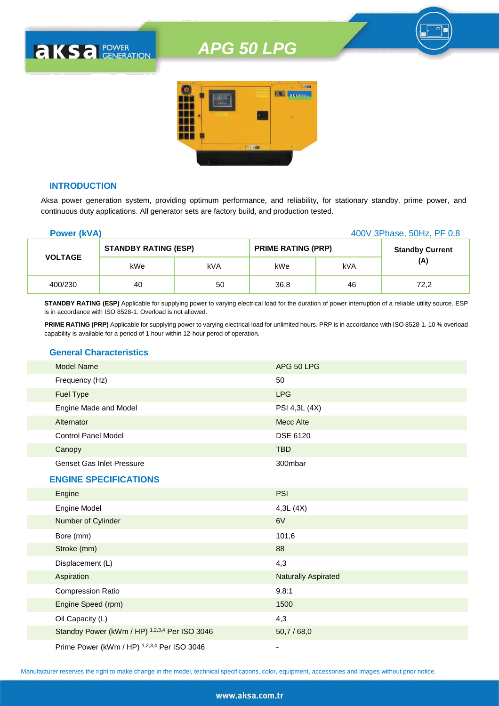

#### **INTRODUCTION**

**AKSA POWER** 

Aksa power generation system, providing optimum performance, and reliability, for stationary standby, prime power, and continuous duty applications. All generator sets are factory build, and production tested.

| <b>Power (kVA)</b> |                             |     |                           |     | 400V 3Phase, 50Hz, PF 0.8 |
|--------------------|-----------------------------|-----|---------------------------|-----|---------------------------|
|                    | <b>STANDBY RATING (ESP)</b> |     | <b>PRIME RATING (PRP)</b> |     | <b>Standby Current</b>    |
| <b>VOLTAGE</b>     | kWe                         | kVA | kWe                       | kVA | (A)                       |
| 400/230            | 40                          | 50  | 36,8                      | 46  | 72,2                      |

**STANDBY RATING (ESP)** Applicable for supplying power to varying electrical load for the duration of power interruption of a reliable utility source. ESP is in accordance with ISO 8528-1. Overload is not allowed.

**PRIME RATING (PRP)** Applicable for supplying power to varying electrical load for unlimited hours. PRP is in accordance with ISO 8528-1. 10 % overload capability is available for a period of 1 hour within 12-hour perod of operation.

#### **General Characteristics**

| <b>Model Name</b>                | APG 50 LPG      |
|----------------------------------|-----------------|
| Frequency (Hz)                   | 50              |
| <b>Fuel Type</b>                 | <b>LPG</b>      |
| Engine Made and Model            | PSI 4,3L (4X)   |
| Alternator                       | Mecc Alte       |
| <b>Control Panel Model</b>       | <b>DSE 6120</b> |
| Canopy                           | <b>TBD</b>      |
| <b>Genset Gas Inlet Pressure</b> | 300mbar         |
|                                  |                 |

#### **ENGINE SPECIFICATIONS**

| Engine                                        | <b>PSI</b>                 |
|-----------------------------------------------|----------------------------|
| <b>Engine Model</b>                           | 4,3L(4X)                   |
| Number of Cylinder                            | 6V                         |
| Bore (mm)                                     | 101,6                      |
| Stroke (mm)                                   | 88                         |
| Displacement (L)                              | 4,3                        |
| Aspiration                                    | <b>Naturally Aspirated</b> |
| <b>Compression Ratio</b>                      | 9.8:1                      |
| Engine Speed (rpm)                            | 1500                       |
| Oil Capacity (L)                              | 4,3                        |
| Standby Power (kWm / HP) 1,2,3,4 Per ISO 3046 | 50,7/68,0                  |
| Prime Power (kWm / HP) 1,2,3,4 Per ISO 3046   |                            |

Manufacturer reserves the right to make change in the model, technical specifications, color, equipment, accessories and images without prior notice.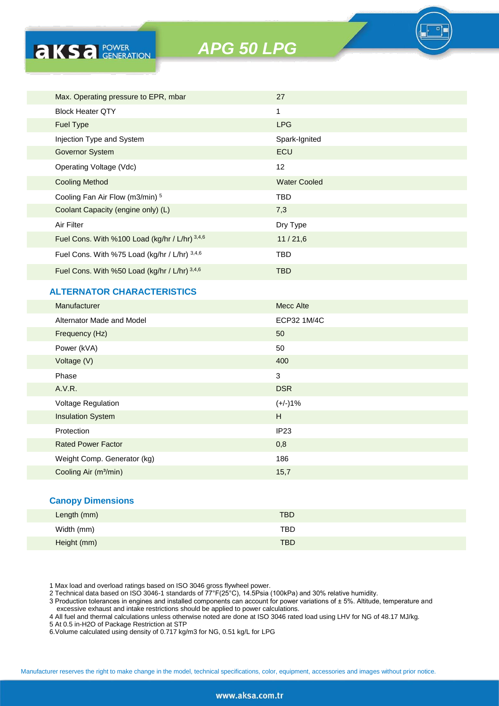

#### **ALTERNATOR CHARACTERISTICS**

**AKSA** POWER

| <b>Manufacturer</b>               | <b>Mecc Alte</b> |
|-----------------------------------|------------------|
| Alternator Made and Model         | ECP32 1M/4C      |
| Frequency (Hz)                    | 50               |
| Power (kVA)                       | 50               |
| Voltage (V)                       | 400              |
| Phase                             | 3                |
| A.V.R.                            | <b>DSR</b>       |
| Voltage Regulation                | $(+/-)1%$        |
| <b>Insulation System</b>          | H                |
| Protection                        | IP <sub>23</sub> |
| <b>Rated Power Factor</b>         | 0,8              |
| Weight Comp. Generator (kg)       | 186              |
| Cooling Air (m <sup>3</sup> /min) | 15,7             |
|                                   |                  |

#### **Canopy Dimensions**

| Length (mm) | <b>TBD</b> |
|-------------|------------|
| Width (mm)  | <b>TBD</b> |
| Height (mm) | <b>TBD</b> |

1 Max load and overload ratings based on ISO 3046 gross flywheel power.

2 Technical data based on ISO 3046-1 standards of 77°F(25°C), 14.5Psia (100kPa) and 30% relative humidity.

3 Production tolerances in engines and installed components can account for power variations of ± 5%. Altitude, temperature and excessive exhaust and intake restrictions should be applied to power calculations.

4 All fuel and thermal calculations unless otherwise noted are done at ISO 3046 rated load using LHV for NG of 48.17 MJ/kg.

5 At 0.5 in-H2O of Package Restriction at STP

6.Volume calculated using density of 0.717 kg/m3 for NG, 0.51 kg/L for LPG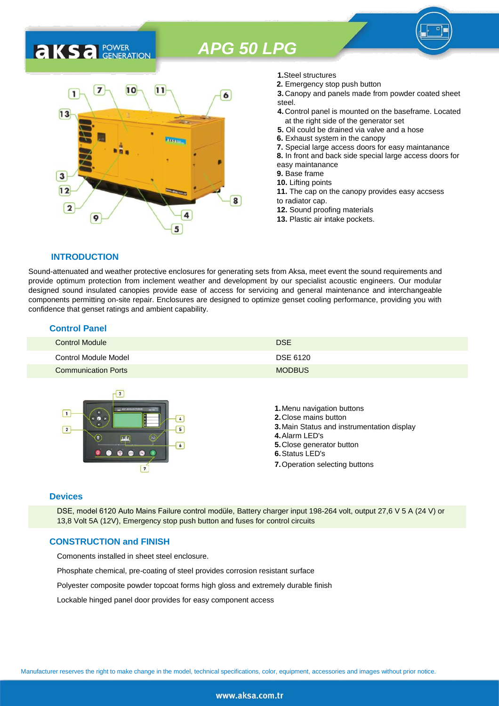### 7  $10$  $11$ 1 6  $13$ 3  $12$ 8  $\overline{2}$ 9 5

- **1.**Steel structures
- **2.** Emergency stop push button
- **3.** Canopy and panels made from powder coated sheet steel.
- **4.** Control panel is mounted on the baseframe. Located at the right side of the generator set
- **5.** Oil could be drained via valve and a hose
- **6.** Exhaust system in the canopy
- **7.** Special large access doors for easy maintanance
- **8.** In front and back side special large access doors for
- easy maintanance
- **9.** Base frame
- **10.** Lifting points
- **11.** The cap on the canopy provides easy accsess to radiator cap.
- **12.** Sound proofing materials
- **13.** Plastic air intake pockets.

#### **INTRODUCTION**

**AKS** *C C <b>C GENERATION* 

Sound-attenuated and weather protective enclosures for generating sets from Aksa, meet event the sound requirements and provide optimum protection from inclement weather and development by our specialist acoustic engineers. Our modular designed sound insulated canopies provide ease of access for servicing and general maintenance and interchangeable components permitting on-site repair. Enclosures are designed to optimize genset cooling performance, providing you with confidence that genset ratings and ambient capability.

#### **Control Panel**

| Control Module             | <b>DSE</b>    |
|----------------------------|---------------|
| Control Module Model       | DSE 6120      |
| <b>Communication Ports</b> | <b>MODBUS</b> |



#### **Devices**

DSE, model 6120 Auto Mains Failure control modüle, Battery charger input 198-264 volt, output 27,6 V 5 A (24 V) or 13,8 Volt 5A (12V), Emergency stop push button and fuses for control circuits

#### **CONSTRUCTION and FINISH**

Comonents installed in sheet steel enclosure.

Phosphate chemical, pre-coating of steel provides corrosion resistant surface

Polyester composite powder topcoat forms high gloss and extremely durable finish

Lockable hinged panel door provides for easy component access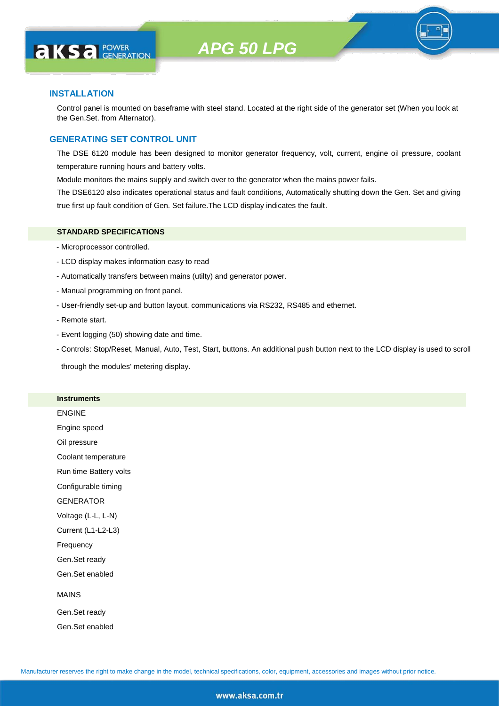

#### **INSTALLATION**

**AKS** *C C <b>C GENERATION* 

Control panel is mounted on baseframe with steel stand. Located at the right side of the generator set (When you look at the Gen.Set. from Alternator).

#### **GENERATING SET CONTROL UNIT**

The DSE 6120 module has been designed to monitor generator frequency, volt, current, engine oil pressure, coolant temperature running hours and battery volts.

Module monitors the mains supply and switch over to the generator when the mains power fails.

The DSE6120 also indicates operational status and fault conditions, Automatically shutting down the Gen. Set and giving true first up fault condition of Gen. Set failure.The LCD display indicates the fault.

#### **STANDARD SPECIFICATIONS**

- Microprocessor controlled.
- LCD display makes information easy to read
- Automatically transfers between mains (utilty) and generator power.
- Manual programming on front panel.
- User-friendly set-up and button layout. communications via RS232, RS485 and ethernet.
- Remote start.
- Event logging (50) showing date and time.
- Controls: Stop/Reset, Manual, Auto, Test, Start, buttons. An additional push button next to the LCD display is used to scroll

through the modules' metering display.

#### **Instruments**

ENGINE

Engine speed

Oil pressure

Coolant temperature

Run time Battery volts

Configurable timing

GENERATOR

Voltage (L-L, L-N)

Current (L1-L2-L3)

Frequency

Gen.Set ready

Gen.Set enabled

#### MAINS

Gen.Set ready Gen.Set enabled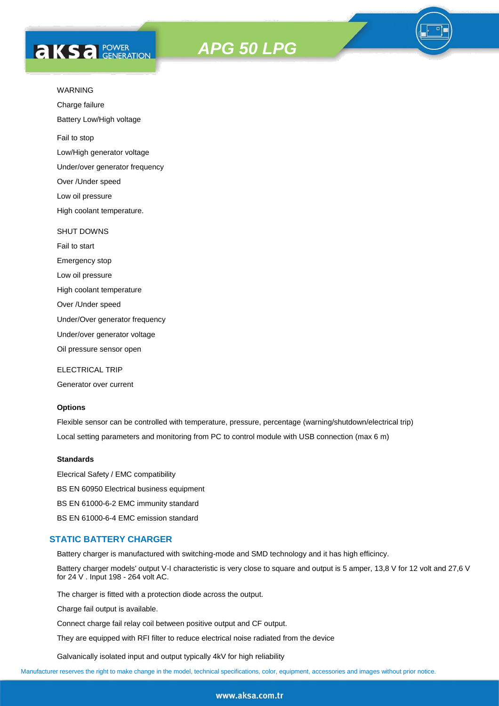# **AKS** *C C <b>C GENERATION*





Charge failure

Battery Low/High voltage

Fail to stop

Low/High generator voltage

Under/over generator frequency

Over /Under speed

Low oil pressure

High coolant temperature.

#### SHUT DOWNS

Fail to start Emergency stop

Low oil pressure

High coolant temperature

Over /Under speed

Under/Over generator frequency

Under/over generator voltage

Oil pressure sensor open

ELECTRICAL TRIP

Generator over current

#### **Options**

Flexible sensor can be controlled with temperature, pressure, percentage (warning/shutdown/electrical trip) Local setting parameters and monitoring from PC to control module with USB connection (max 6 m)

#### **Standards**

Elecrical Safety / EMC compatibility BS EN 60950 Electrical business equipment BS EN 61000-6-2 EMC immunity standard BS EN 61000-6-4 EMC emission standard

#### **STATIC BATTERY CHARGER**

Battery charger is manufactured with switching-mode and SMD technology and it has high efficincy.

Battery charger models' output V-I characteristic is very close to square and output is 5 amper, 13,8 V for 12 volt and 27,6 V for 24 V . Input 198 - 264 volt AC.

The charger is fitted with a protection diode across the output.

Charge fail output is available.

Connect charge fail relay coil between positive output and CF output.

They are equipped with RFI filter to reduce electrical noise radiated from the device

Galvanically isolated input and output typically 4kV for high reliability

Manufacturer reserves the right to make change in the model, technical specifications, color, equipment, accessories and images without prior notice.